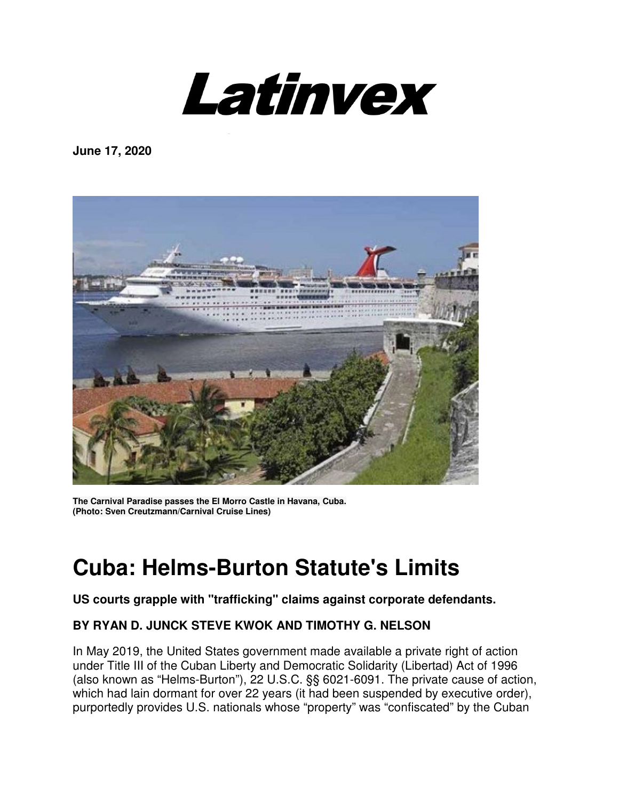

**June 17, 2020** 



**The Carnival Paradise passes the El Morro Castle in Havana, Cuba. (Photo: Sven Creutzmann/Carnival Cruise Lines)**

# **Cuba: Helms-Burton Statute's Limits**

#### **US courts grapple with "trafficking" claims against corporate defendants.**

## **BY RYAN D. JUNCK STEVE KWOK AND TIMOTHY G. NELSON**

In May 2019, the United States government made available a private right of action under Title III of the Cuban Liberty and Democratic Solidarity (Libertad) Act of 1996 (also known as "Helms-Burton"), 22 U.S.C. §§ 6021-6091. The private cause of action, which had lain dormant for over 22 years (it had been suspended by executive order), purportedly provides U.S. nationals whose "property" was "confiscated" by the Cuban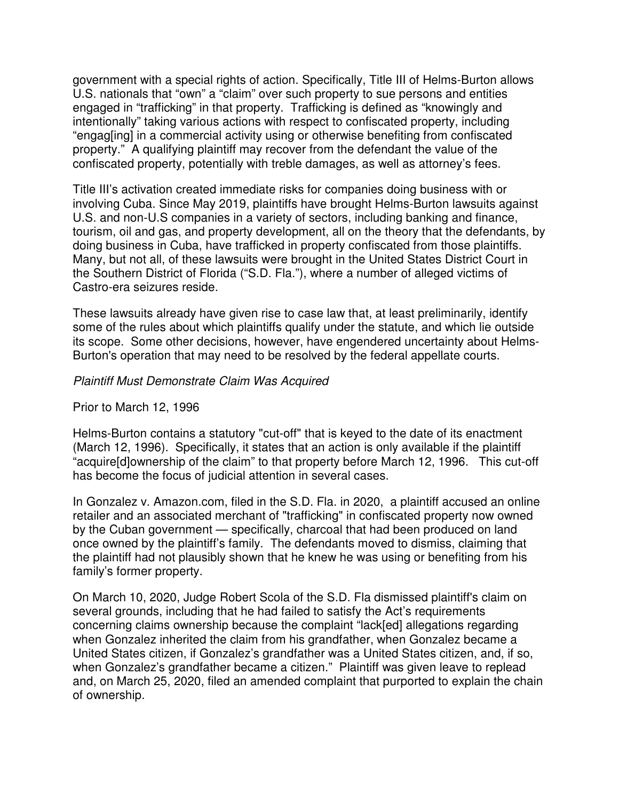government with a special rights of action. Specifically, Title III of Helms-Burton allows U.S. nationals that "own" a "claim" over such property to sue persons and entities engaged in "trafficking" in that property. Trafficking is defined as "knowingly and intentionally" taking various actions with respect to confiscated property, including "engag[ing] in a commercial activity using or otherwise benefiting from confiscated property." A qualifying plaintiff may recover from the defendant the value of the confiscated property, potentially with treble damages, as well as attorney's fees.

Title III's activation created immediate risks for companies doing business with or involving Cuba. Since May 2019, plaintiffs have brought Helms-Burton lawsuits against U.S. and non-U.S companies in a variety of sectors, including banking and finance, tourism, oil and gas, and property development, all on the theory that the defendants, by doing business in Cuba, have trafficked in property confiscated from those plaintiffs. Many, but not all, of these lawsuits were brought in the United States District Court in the Southern District of Florida ("S.D. Fla."), where a number of alleged victims of Castro-era seizures reside.

These lawsuits already have given rise to case law that, at least preliminarily, identify some of the rules about which plaintiffs qualify under the statute, and which lie outside its scope. Some other decisions, however, have engendered uncertainty about Helms-Burton's operation that may need to be resolved by the federal appellate courts.

#### Plaintiff Must Demonstrate Claim Was Acquired

Prior to March 12, 1996

Helms-Burton contains a statutory "cut-off" that is keyed to the date of its enactment (March 12, 1996). Specifically, it states that an action is only available if the plaintiff "acquire[d]ownership of the claim" to that property before March 12, 1996. This cut-off has become the focus of judicial attention in several cases.

In Gonzalez v. Amazon.com, filed in the S.D. Fla. in 2020, a plaintiff accused an online retailer and an associated merchant of "trafficking" in confiscated property now owned by the Cuban government — specifically, charcoal that had been produced on land once owned by the plaintiff's family. The defendants moved to dismiss, claiming that the plaintiff had not plausibly shown that he knew he was using or benefiting from his family's former property.

On March 10, 2020, Judge Robert Scola of the S.D. Fla dismissed plaintiff's claim on several grounds, including that he had failed to satisfy the Act's requirements concerning claims ownership because the complaint "lack[ed] allegations regarding when Gonzalez inherited the claim from his grandfather, when Gonzalez became a United States citizen, if Gonzalez's grandfather was a United States citizen, and, if so, when Gonzalez's grandfather became a citizen." Plaintiff was given leave to replead and, on March 25, 2020, filed an amended complaint that purported to explain the chain of ownership.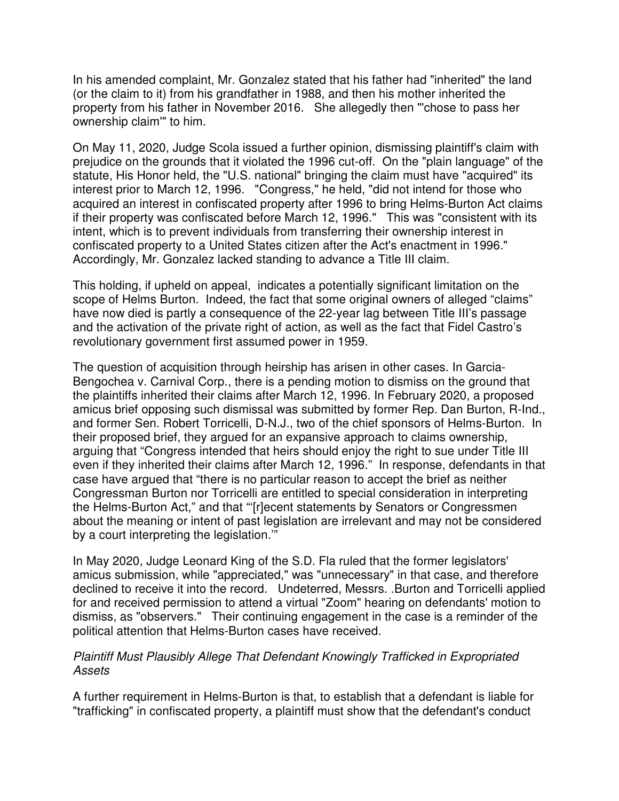In his amended complaint, Mr. Gonzalez stated that his father had "inherited" the land (or the claim to it) from his grandfather in 1988, and then his mother inherited the property from his father in November 2016. She allegedly then "'chose to pass her ownership claim'" to him.

On May 11, 2020, Judge Scola issued a further opinion, dismissing plaintiff's claim with prejudice on the grounds that it violated the 1996 cut-off. On the "plain language" of the statute, His Honor held, the "U.S. national" bringing the claim must have "acquired" its interest prior to March 12, 1996. "Congress," he held, "did not intend for those who acquired an interest in confiscated property after 1996 to bring Helms-Burton Act claims if their property was confiscated before March 12, 1996." This was "consistent with its intent, which is to prevent individuals from transferring their ownership interest in confiscated property to a United States citizen after the Act's enactment in 1996." Accordingly, Mr. Gonzalez lacked standing to advance a Title III claim.

This holding, if upheld on appeal, indicates a potentially significant limitation on the scope of Helms Burton. Indeed, the fact that some original owners of alleged "claims" have now died is partly a consequence of the 22-year lag between Title III's passage and the activation of the private right of action, as well as the fact that Fidel Castro's revolutionary government first assumed power in 1959.

The question of acquisition through heirship has arisen in other cases. In Garcia-Bengochea v. Carnival Corp., there is a pending motion to dismiss on the ground that the plaintiffs inherited their claims after March 12, 1996. In February 2020, a proposed amicus brief opposing such dismissal was submitted by former Rep. Dan Burton, R-Ind., and former Sen. Robert Torricelli, D-N.J., two of the chief sponsors of Helms-Burton. In their proposed brief, they argued for an expansive approach to claims ownership, arguing that "Congress intended that heirs should enjoy the right to sue under Title III even if they inherited their claims after March 12, 1996." In response, defendants in that case have argued that "there is no particular reason to accept the brief as neither Congressman Burton nor Torricelli are entitled to special consideration in interpreting the Helms-Burton Act," and that "'[r]ecent statements by Senators or Congressmen about the meaning or intent of past legislation are irrelevant and may not be considered by a court interpreting the legislation.'"

In May 2020, Judge Leonard King of the S.D. Fla ruled that the former legislators' amicus submission, while "appreciated," was "unnecessary" in that case, and therefore declined to receive it into the record. Undeterred, Messrs. .Burton and Torricelli applied for and received permission to attend a virtual "Zoom" hearing on defendants' motion to dismiss, as "observers." Their continuing engagement in the case is a reminder of the political attention that Helms-Burton cases have received.

#### Plaintiff Must Plausibly Allege That Defendant Knowingly Trafficked in Expropriated Assets

A further requirement in Helms-Burton is that, to establish that a defendant is liable for "trafficking" in confiscated property, a plaintiff must show that the defendant's conduct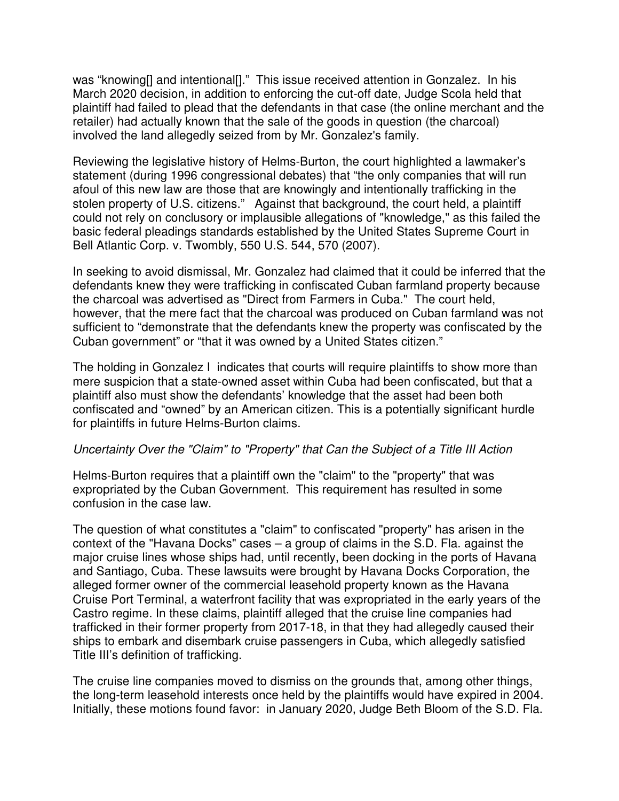was "knowing[] and intentional[]." This issue received attention in Gonzalez. In his March 2020 decision, in addition to enforcing the cut-off date, Judge Scola held that plaintiff had failed to plead that the defendants in that case (the online merchant and the retailer) had actually known that the sale of the goods in question (the charcoal) involved the land allegedly seized from by Mr. Gonzalez's family.

Reviewing the legislative history of Helms-Burton, the court highlighted a lawmaker's statement (during 1996 congressional debates) that "the only companies that will run afoul of this new law are those that are knowingly and intentionally trafficking in the stolen property of U.S. citizens." Against that background, the court held, a plaintiff could not rely on conclusory or implausible allegations of "knowledge," as this failed the basic federal pleadings standards established by the United States Supreme Court in Bell Atlantic Corp. v. Twombly, 550 U.S. 544, 570 (2007).

In seeking to avoid dismissal, Mr. Gonzalez had claimed that it could be inferred that the defendants knew they were trafficking in confiscated Cuban farmland property because the charcoal was advertised as "Direct from Farmers in Cuba." The court held, however, that the mere fact that the charcoal was produced on Cuban farmland was not sufficient to "demonstrate that the defendants knew the property was confiscated by the Cuban government" or "that it was owned by a United States citizen."

The holding in Gonzalez I indicates that courts will require plaintiffs to show more than mere suspicion that a state-owned asset within Cuba had been confiscated, but that a plaintiff also must show the defendants' knowledge that the asset had been both confiscated and "owned" by an American citizen. This is a potentially significant hurdle for plaintiffs in future Helms-Burton claims.

#### Uncertainty Over the "Claim" to "Property" that Can the Subject of a Title III Action

Helms-Burton requires that a plaintiff own the "claim" to the "property" that was expropriated by the Cuban Government. This requirement has resulted in some confusion in the case law.

The question of what constitutes a "claim" to confiscated "property" has arisen in the context of the "Havana Docks" cases – a group of claims in the S.D. Fla. against the major cruise lines whose ships had, until recently, been docking in the ports of Havana and Santiago, Cuba. These lawsuits were brought by Havana Docks Corporation, the alleged former owner of the commercial leasehold property known as the Havana Cruise Port Terminal, a waterfront facility that was expropriated in the early years of the Castro regime. In these claims, plaintiff alleged that the cruise line companies had trafficked in their former property from 2017-18, in that they had allegedly caused their ships to embark and disembark cruise passengers in Cuba, which allegedly satisfied Title III's definition of trafficking.

The cruise line companies moved to dismiss on the grounds that, among other things, the long-term leasehold interests once held by the plaintiffs would have expired in 2004. Initially, these motions found favor: in January 2020, Judge Beth Bloom of the S.D. Fla.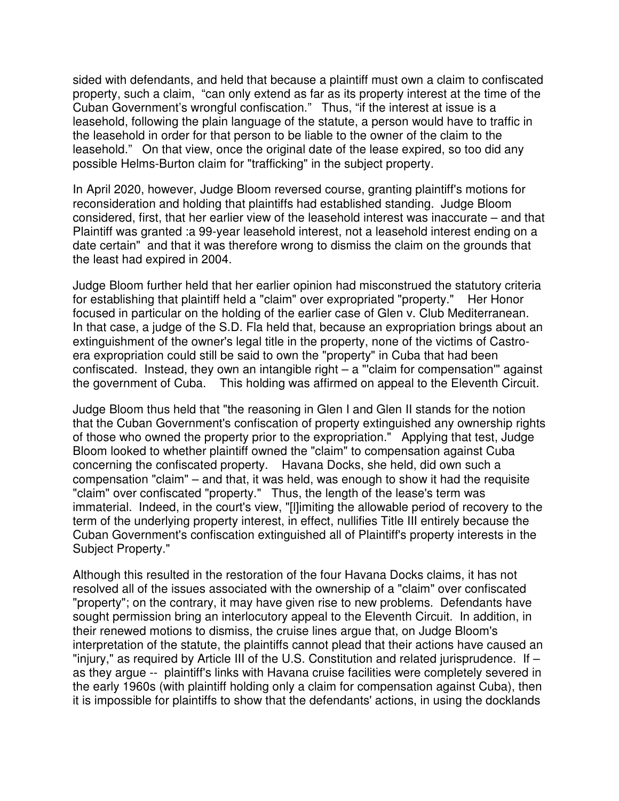sided with defendants, and held that because a plaintiff must own a claim to confiscated property, such a claim, "can only extend as far as its property interest at the time of the Cuban Government's wrongful confiscation." Thus, "if the interest at issue is a leasehold, following the plain language of the statute, a person would have to traffic in the leasehold in order for that person to be liable to the owner of the claim to the leasehold." On that view, once the original date of the lease expired, so too did any possible Helms-Burton claim for "trafficking" in the subject property.

In April 2020, however, Judge Bloom reversed course, granting plaintiff's motions for reconsideration and holding that plaintiffs had established standing. Judge Bloom considered, first, that her earlier view of the leasehold interest was inaccurate – and that Plaintiff was granted :a 99-year leasehold interest, not a leasehold interest ending on a date certain" and that it was therefore wrong to dismiss the claim on the grounds that the least had expired in 2004.

Judge Bloom further held that her earlier opinion had misconstrued the statutory criteria for establishing that plaintiff held a "claim" over expropriated "property." Her Honor focused in particular on the holding of the earlier case of Glen v. Club Mediterranean. In that case, a judge of the S.D. Fla held that, because an expropriation brings about an extinguishment of the owner's legal title in the property, none of the victims of Castroera expropriation could still be said to own the "property" in Cuba that had been confiscated. Instead, they own an intangible right – a "'claim for compensation'" against the government of Cuba. This holding was affirmed on appeal to the Eleventh Circuit.

Judge Bloom thus held that "the reasoning in Glen I and Glen II stands for the notion that the Cuban Government's confiscation of property extinguished any ownership rights of those who owned the property prior to the expropriation." Applying that test, Judge Bloom looked to whether plaintiff owned the "claim" to compensation against Cuba concerning the confiscated property. Havana Docks, she held, did own such a compensation "claim" – and that, it was held, was enough to show it had the requisite "claim" over confiscated "property." Thus, the length of the lease's term was immaterial. Indeed, in the court's view, "[l]imiting the allowable period of recovery to the term of the underlying property interest, in effect, nullifies Title III entirely because the Cuban Government's confiscation extinguished all of Plaintiff's property interests in the Subject Property."

Although this resulted in the restoration of the four Havana Docks claims, it has not resolved all of the issues associated with the ownership of a "claim" over confiscated "property"; on the contrary, it may have given rise to new problems. Defendants have sought permission bring an interlocutory appeal to the Eleventh Circuit. In addition, in their renewed motions to dismiss, the cruise lines argue that, on Judge Bloom's interpretation of the statute, the plaintiffs cannot plead that their actions have caused an "injury," as required by Article III of the U.S. Constitution and related jurisprudence. If – as they argue -- plaintiff's links with Havana cruise facilities were completely severed in the early 1960s (with plaintiff holding only a claim for compensation against Cuba), then it is impossible for plaintiffs to show that the defendants' actions, in using the docklands